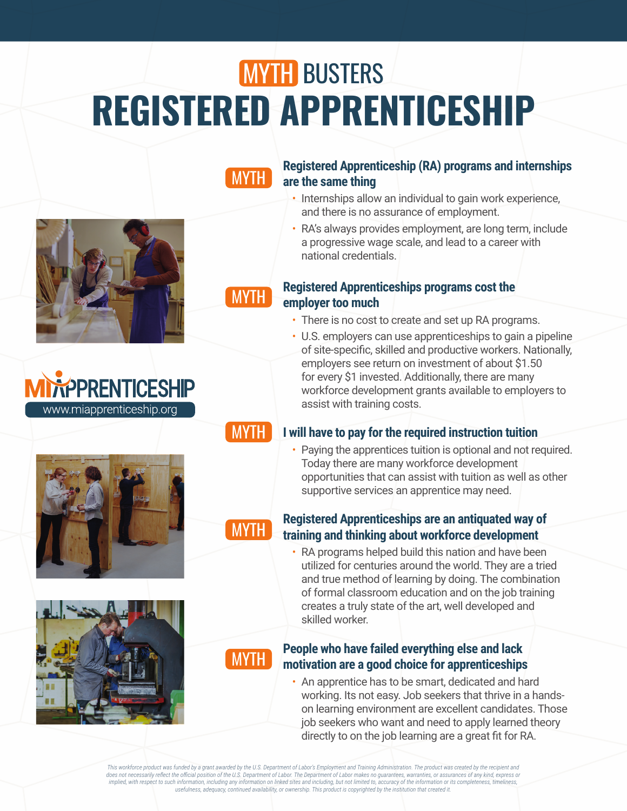# **MYTH BUSTERS REGISTERED APPRENTICESHIP**

### **MYTH**

### **Registered Apprenticeship (RA) programs and internships are the same thing**

- Internships allow an individual to gain work experience, and there is no assurance of employment.
- RA's always provides employment, are long term, include a progressive wage scale, and lead to a career with national credentials.



### **Registered Apprenticeships programs cost the employer too much**

- There is no cost to create and set up RA programs.
- U.S. employers can use apprenticeships to gain a pipeline of site-specific, skilled and productive workers. Nationally, employers see return on investment of about \$1.50 for every \$1 invested. Additionally, there are many workforce development grants available to employers to assist with training costs.



www.miapprenticeship.org

PPRENTICESHIP

### MYTH

### **I will have to pay for the required instruction tuition**

• Paying the apprentices tuition is optional and not required. Today there are many workforce development opportunities that can assist with tuition as well as other supportive services an apprentice may need.



### **Registered Apprenticeships are an antiquated way of training and thinking about workforce development**

• RA programs helped build this nation and have been utilized for centuries around the world. They are a tried and true method of learning by doing. The combination of formal classroom education and on the job training creates a truly state of the art, well developed and skilled worker.

MYTH

### **People who have failed everything else and lack motivation are a good choice for apprenticeships**

• An apprentice has to be smart, dedicated and hard working. Its not easy. Job seekers that thrive in a hands on learning environment are excellent candidates. Those job seekers who want and need to apply learned theory directly to on the job learning are a great fit for RA.

This workforce product was funded by a grant awarded by the U.S. Department of Labor's Employment and Training Administration. The product was created by the recipient and does not necessarily reflect the official position of the U.S. Department of Labor. The Department of Labor makes no guarantees, warranties, or assurances of any kind, express or<br>implied, with respect to such information, *usefulness, adequacy, continued availability, or ownership. This product is copyrighted by the institution that created it.*